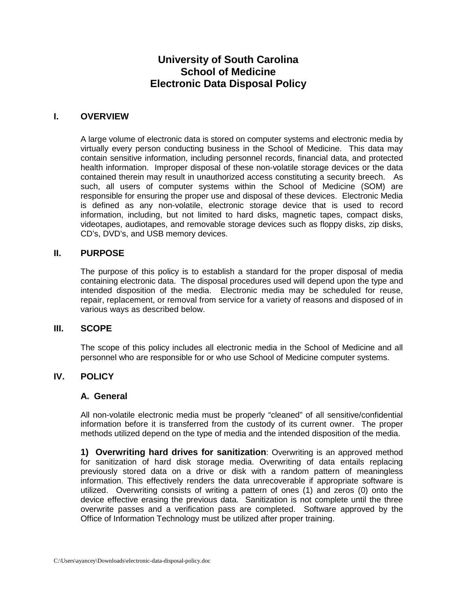# **University of South Carolina School of Medicine Electronic Data Disposal Policy**

## **I. OVERVIEW**

A large volume of electronic data is stored on computer systems and electronic media by virtually every person conducting business in the School of Medicine. This data may contain sensitive information, including personnel records, financial data, and protected health information. Improper disposal of these non-volatile storage devices or the data contained therein may result in unauthorized access constituting a security breech. As such, all users of computer systems within the School of Medicine (SOM) are responsible for ensuring the proper use and disposal of these devices. Electronic Media is defined as any non-volatile, electronic storage device that is used to record information, including, but not limited to hard disks, magnetic tapes, compact disks, videotapes, audiotapes, and removable storage devices such as floppy disks, zip disks, CD's, DVD's, and USB memory devices.

## **II. PURPOSE**

The purpose of this policy is to establish a standard for the proper disposal of media containing electronic data. The disposal procedures used will depend upon the type and intended disposition of the media. Electronic media may be scheduled for reuse, repair, replacement, or removal from service for a variety of reasons and disposed of in various ways as described below.

#### **III. SCOPE**

The scope of this policy includes all electronic media in the School of Medicine and all personnel who are responsible for or who use School of Medicine computer systems.

## **IV. POLICY**

#### **A. General**

All non-volatile electronic media must be properly "cleaned" of all sensitive/confidential information before it is transferred from the custody of its current owner. The proper methods utilized depend on the type of media and the intended disposition of the media.

**1) Overwriting hard drives for sanitization**: Overwriting is an approved method for sanitization of hard disk storage media. Overwriting of data entails replacing previously stored data on a drive or disk with a random pattern of meaningless information. This effectively renders the data unrecoverable if appropriate software is utilized. Overwriting consists of writing a pattern of ones (1) and zeros (0) onto the device effective erasing the previous data. Sanitization is not complete until the three overwrite passes and a verification pass are completed. Software approved by the Office of Information Technology must be utilized after proper training.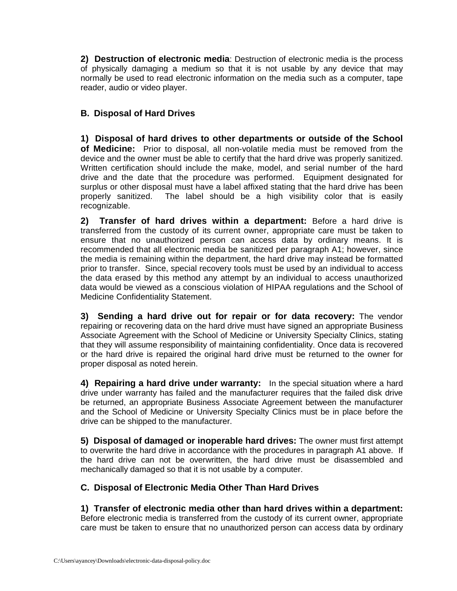**2) Destruction of electronic media**: Destruction of electronic media is the process of physically damaging a medium so that it is not usable by any device that may normally be used to read electronic information on the media such as a computer, tape reader, audio or video player.

## **B. Disposal of Hard Drives**

**1) Disposal of hard drives to other departments or outside of the School of Medicine:** Prior to disposal, all non-volatile media must be removed from the device and the owner must be able to certify that the hard drive was properly sanitized. Written certification should include the make, model, and serial number of the hard drive and the date that the procedure was performed. Equipment designated for surplus or other disposal must have a label affixed stating that the hard drive has been properly sanitized. The label should be a high visibility color that is easily recognizable.

**2) Transfer of hard drives within a department:** Before a hard drive is transferred from the custody of its current owner, appropriate care must be taken to ensure that no unauthorized person can access data by ordinary means. It is recommended that all electronic media be sanitized per paragraph A1; however, since the media is remaining within the department, the hard drive may instead be formatted prior to transfer. Since, special recovery tools must be used by an individual to access the data erased by this method any attempt by an individual to access unauthorized data would be viewed as a conscious violation of HIPAA regulations and the School of Medicine Confidentiality Statement.

**3) Sending a hard drive out for repair or for data recovery:** The vendor repairing or recovering data on the hard drive must have signed an appropriate Business Associate Agreement with the School of Medicine or University Specialty Clinics, stating that they will assume responsibility of maintaining confidentiality. Once data is recovered or the hard drive is repaired the original hard drive must be returned to the owner for proper disposal as noted herein.

**4) Repairing a hard drive under warranty:** In the special situation where a hard drive under warranty has failed and the manufacturer requires that the failed disk drive be returned, an appropriate Business Associate Agreement between the manufacturer and the School of Medicine or University Specialty Clinics must be in place before the drive can be shipped to the manufacturer.

**5) Disposal of damaged or inoperable hard drives:** The owner must first attempt to overwrite the hard drive in accordance with the procedures in paragraph A1 above. If the hard drive can not be overwritten, the hard drive must be disassembled and mechanically damaged so that it is not usable by a computer.

## **C. Disposal of Electronic Media Other Than Hard Drives**

**1) Transfer of electronic media other than hard drives within a department:** Before electronic media is transferred from the custody of its current owner, appropriate care must be taken to ensure that no unauthorized person can access data by ordinary